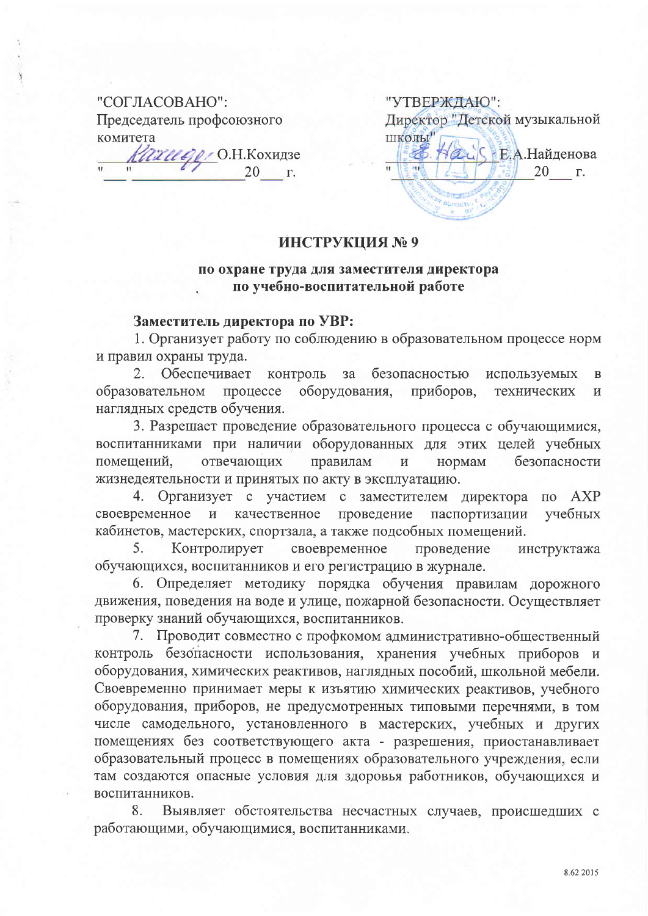## "СОГЛАСОВАНО": Председатель профсоюзного комитета

Кахиере О.Н. Кохидзе  $20 \quad \Gamma$ 

"УТВЕРЖДАЮ": Директор "Детской музыкальной **ШКОЛЫ ZUS E.A. Найденова** % 20  $\Gamma$ .

## ИНСТРУКЦИЯ №9

## по охране труда для заместителя директора по учебно-воспитательной работе

## Заместитель директора по УВР:

1. Организует работу по соблюдению в образовательном процессе норм и правил охраны труда.

Обеспечивает контроль  $3a$ безопасностью  $2.$ используемых  $\overline{B}$ оборудования, приборов, образовательном процессе технических  $\overline{M}$ наглядных средств обучения.

3. Разрешает проведение образовательного процесса с обучающимися, воспитанниками при наличии оборудованных для этих целей учебных правилам безопасности помещений, отвечающих  $\overline{M}$ нормам жизнедеятельности и принятых по акту в эксплуатацию.

4. Организует с участием с заместителем директора по АХР своевременное  $\mathbf{H}$ качественное проведение паспортизации учебных кабинетов, мастерских, спортзала, а также подсобных помещений.

Контролирует своевременное 5. проведение инструктажа обучающихся, воспитанников и его регистрацию в журнале.

6. Определяет методику порядка обучения правилам дорожного движения, поведения на воде и улице, пожарной безопасности. Осуществляет проверку знаний обучающихся, воспитанников.

7. Проводит совместно с профкомом административно-общественный контроль безопасности использования, хранения учебных приборов и оборудования, химических реактивов, наглядных пособий, школьной мебели. Своевременно принимает меры к изъятию химических реактивов, учебного оборудования, приборов, не предусмотренных типовыми перечнями, в том числе самодельного, установленного в мастерских, учебных и других помещениях без соответствующего акта - разрешения, приостанавливает образовательный процесс в помещениях образовательного учреждения, если там создаются опасные условия для здоровья работников, обучающихся и воспитанников.

Выявляет обстоятельства несчастных случаев, происшедших с 8. работающими, обучающимися, воспитанниками.